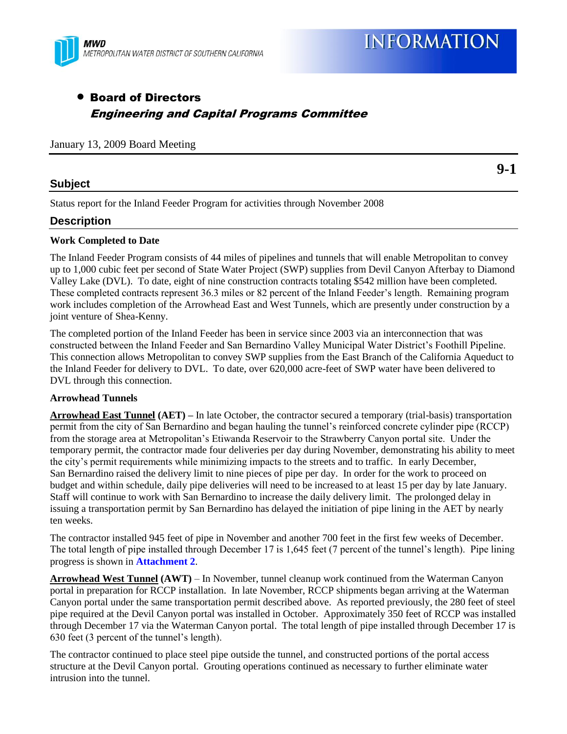

# Board of Directors Engineering and Capital Programs Committee

January 13, 2009 Board Meeting

### **Subject**

**9-1**

Status report for the Inland Feeder Program for activities through November 2008

# **Description**

#### **Work Completed to Date**

The Inland Feeder Program consists of 44 miles of pipelines and tunnels that will enable Metropolitan to convey up to 1,000 cubic feet per second of State Water Project (SWP) supplies from Devil Canyon Afterbay to Diamond Valley Lake (DVL). To date, eight of nine construction contracts totaling \$542 million have been completed. These completed contracts represent 36.3 miles or 82 percent of the Inland Feeder's length. Remaining program work includes completion of the Arrowhead East and West Tunnels, which are presently under construction by a joint venture of Shea-Kenny.

The completed portion of the Inland Feeder has been in service since 2003 via an interconnection that was constructed between the Inland Feeder and San Bernardino Valley Municipal Water District's Foothill Pipeline. This connection allows Metropolitan to convey SWP supplies from the East Branch of the California Aqueduct to the Inland Feeder for delivery to DVL. To date, over 620,000 acre-feet of SWP water have been delivered to DVL through this connection.

#### **Arrowhead Tunnels**

**Arrowhead East Tunnel (AET) –** In late October, the contractor secured a temporary (trial-basis) transportation permit from the city of San Bernardino and began hauling the tunnel's reinforced concrete cylinder pipe (RCCP) from the storage area at Metropolitan's Etiwanda Reservoir to the Strawberry Canyon portal site. Under the temporary permit, the contractor made four deliveries per day during November, demonstrating his ability to meet the city's permit requirements while minimizing impacts to the streets and to traffic. In early December, San Bernardino raised the delivery limit to nine pieces of pipe per day. In order for the work to proceed on budget and within schedule, daily pipe deliveries will need to be increased to at least 15 per day by late January. Staff will continue to work with San Bernardino to increase the daily delivery limit. The prolonged delay in issuing a transportation permit by San Bernardino has delayed the initiation of pipe lining in the AET by nearly ten weeks.

The contractor installed 945 feet of pipe in November and another 700 feet in the first few weeks of December. The total length of pipe installed through December 17 is 1,645 feet (7 percent of the tunnel's length). Pipe lining progress is shown in **Attachment 2**.

**Arrowhead West Tunnel (AWT)** – In November, tunnel cleanup work continued from the Waterman Canyon portal in preparation for RCCP installation. In late November, RCCP shipments began arriving at the Waterman Canyon portal under the same transportation permit described above. As reported previously, the 280 feet of steel pipe required at the Devil Canyon portal was installed in October. Approximately 350 feet of RCCP was installed through December 17 via the Waterman Canyon portal. The total length of pipe installed through December 17 is 630 feet (3 percent of the tunnel's length).

The contractor continued to place steel pipe outside the tunnel, and constructed portions of the portal access structure at the Devil Canyon portal. Grouting operations continued as necessary to further eliminate water intrusion into the tunnel.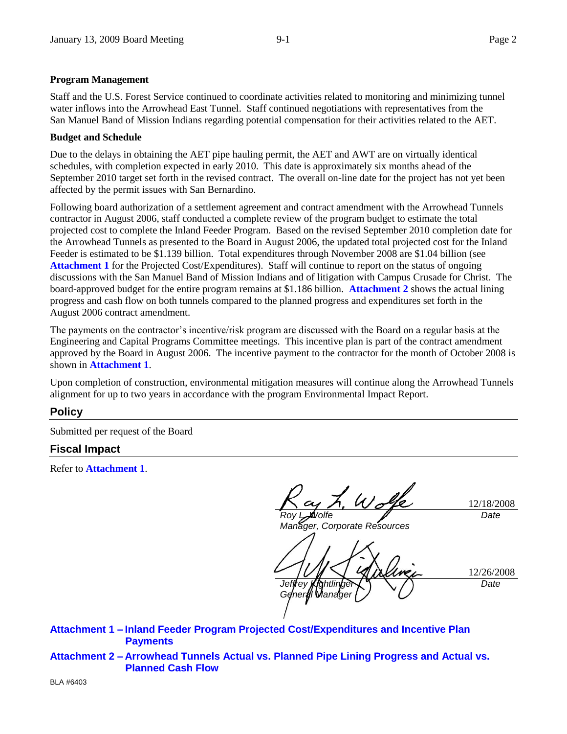#### **Program Management**

Staff and the U.S. Forest Service continued to coordinate activities related to monitoring and minimizing tunnel water inflows into the Arrowhead East Tunnel. Staff continued negotiations with representatives from the San Manuel Band of Mission Indians regarding potential compensation for their activities related to the AET.

#### **Budget and Schedule**

Due to the delays in obtaining the AET pipe hauling permit, the AET and AWT are on virtually identical schedules, with completion expected in early 2010. This date is approximately six months ahead of the September 2010 target set forth in the revised contract. The overall on-line date for the project has not yet been affected by the permit issues with San Bernardino.

Following board authorization of a settlement agreement and contract amendment with the Arrowhead Tunnels contractor in August 2006, staff conducted a complete review of the program budget to estimate the total projected cost to complete the Inland Feeder Program. Based on the revised September 2010 completion date for the Arrowhead Tunnels as presented to the Board in August 2006, the updated total projected cost for the Inland Feeder is estimated to be \$1.139 billion. Total expenditures through November 2008 are \$1.04 billion (see **Attachment 1** for the Projected Cost/Expenditures). Staff will continue to report on the status of ongoing discussions with the San Manuel Band of Mission Indians and of litigation with Campus Crusade for Christ. The board-approved budget for the entire program remains at \$1.186 billion. **Attachment 2** shows the actual lining progress and cash flow on both tunnels compared to the planned progress and expenditures set forth in the August 2006 contract amendment.

The payments on the contractor's incentive/risk program are discussed with the Board on a regular basis at the Engineering and Capital Programs Committee meetings. This incentive plan is part of the contract amendment approved by the Board in August 2006. The incentive payment to the contractor for the month of October 2008 is shown in **Attachment 1**.

Upon completion of construction, environmental mitigation measures will continue along the Arrowhead Tunnels alignment for up to two years in accordance with the program Environmental Impact Report.

# **Policy**

Submitted per request of the Board

# **Fiscal Impact**

Refer to **Attachment 1**.

 $\chi'_{\nu} \omega_{\sigma}$  $'$ olfe

*Manager, Corporate Resources*

12/18/2008 *Date*

12/26/2008 *Jeffrey Kightlinger General Manager Date*

**Attachment 1 – Inland Feeder Program Projected Cost/Expenditures and Incentive Plan Payments**

**Attachment 2 – Arrowhead Tunnels Actual vs. Planned Pipe Lining Progress and Actual vs. Planned Cash Flow**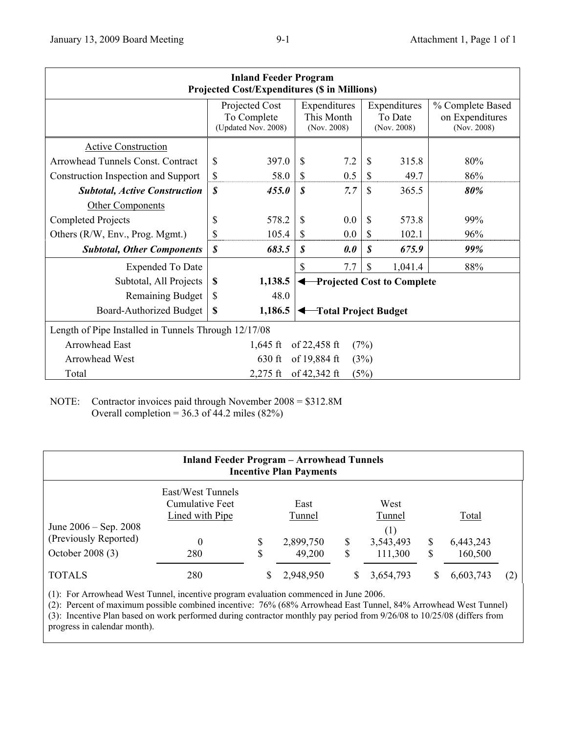| <b>Inland Feeder Program</b><br><b>Projected Cost/Expenditures (\$ in Millions)</b> |                                                      |                                              |                                           |     |                                        |         |                                                    |  |  |  |  |  |
|-------------------------------------------------------------------------------------|------------------------------------------------------|----------------------------------------------|-------------------------------------------|-----|----------------------------------------|---------|----------------------------------------------------|--|--|--|--|--|
|                                                                                     | Projected Cost<br>To Complete<br>(Updated Nov. 2008) |                                              | Expenditures<br>This Month<br>(Nov. 2008) |     | Expenditures<br>To Date<br>(Nov. 2008) |         | % Complete Based<br>on Expenditures<br>(Nov. 2008) |  |  |  |  |  |
| <b>Active Construction</b>                                                          |                                                      |                                              |                                           |     |                                        |         |                                                    |  |  |  |  |  |
| Arrowhead Tunnels Const. Contract                                                   | \$                                                   | 397.0                                        | \$                                        | 7.2 | \$                                     | 315.8   | 80%                                                |  |  |  |  |  |
| Construction Inspection and Support                                                 | \$                                                   | 58.0                                         | $\mathbb{S}$                              | 0.5 | \$                                     | 49.7    | 86%                                                |  |  |  |  |  |
| <b>Subtotal, Active Construction</b>                                                | \$                                                   | 455.0                                        | \$                                        | 7.7 | \$                                     | 365.5   | 80%                                                |  |  |  |  |  |
| Other Components                                                                    |                                                      |                                              |                                           |     |                                        |         |                                                    |  |  |  |  |  |
| Completed Projects                                                                  | \$                                                   | 578.2                                        | \$                                        | 0.0 | \$                                     | 573.8   | 99%                                                |  |  |  |  |  |
| Others (R/W, Env., Prog. Mgmt.)                                                     | \$                                                   | 105.4                                        | \$                                        | 0.0 | $\mathbb{S}$                           | 102.1   | 96%                                                |  |  |  |  |  |
| <b>Subtotal, Other Components</b>                                                   | \$                                                   | 683.5                                        | \$                                        | 0.0 | \$                                     | 675.9   | 99%                                                |  |  |  |  |  |
| <b>Expended To Date</b>                                                             |                                                      |                                              | \$                                        | 7.7 | \$                                     | 1,041.4 | 88%                                                |  |  |  |  |  |
| Subtotal, All Projects                                                              | \$                                                   | 1,138.5<br><b>Projected Cost to Complete</b> |                                           |     |                                        |         |                                                    |  |  |  |  |  |
| <b>Remaining Budget</b>                                                             | \$                                                   | 48.0                                         |                                           |     |                                        |         |                                                    |  |  |  |  |  |
| <b>Board-Authorized Budget</b>                                                      | \$                                                   | 1,186.5                                      | Total Project Budget                      |     |                                        |         |                                                    |  |  |  |  |  |
| Length of Pipe Installed in Tunnels Through 12/17/08                                |                                                      |                                              |                                           |     |                                        |         |                                                    |  |  |  |  |  |
| <b>Arrowhead East</b>                                                               | 1,645 ft<br>of $22,458$ ft<br>(7%)                   |                                              |                                           |     |                                        |         |                                                    |  |  |  |  |  |
| <b>Arrowhead West</b>                                                               | of 19,884 ft<br>630 ft<br>(3%)                       |                                              |                                           |     |                                        |         |                                                    |  |  |  |  |  |
| $2,275$ ft<br>of $42,342$ ft<br>Total<br>(5%)                                       |                                                      |                                              |                                           |     |                                        |         |                                                    |  |  |  |  |  |

NOTE: Contractor invoices paid through November 2008 = \$312.8M Overall completion =  $36.3$  of 44.2 miles (82%)

| <b>Inland Feeder Program - Arrowhead Tunnels</b><br><b>Incentive Plan Payments</b> |                                                                     |         |                                       |        |                                               |        |                               |     |  |  |  |  |  |
|------------------------------------------------------------------------------------|---------------------------------------------------------------------|---------|---------------------------------------|--------|-----------------------------------------------|--------|-------------------------------|-----|--|--|--|--|--|
| June $2006 -$ Sep. 2008<br>(Previously Reported)<br>October 2008 (3)               | East/West Tunnels<br>Cumulative Feet<br>Lined with Pipe<br>0<br>280 | \$<br>S | East<br>Tunnel<br>2,899,750<br>49,200 | S<br>S | West<br>Tunnel<br>(1)<br>3,543,493<br>111,300 | S<br>S | Total<br>6,443,243<br>160,500 |     |  |  |  |  |  |
| <b>TOTALS</b>                                                                      | 280                                                                 |         | 2,948,950                             |        | 3,654,793                                     |        | 6,603,743                     | (2) |  |  |  |  |  |

(1): For Arrowhead West Tunnel, incentive program evaluation commenced in June 2006.

(2): Percent of maximum possible combined incentive: 76% (68% Arrowhead East Tunnel, 84% Arrowhead West Tunnel) (3): Incentive Plan based on work performed during contractor monthly pay period from 9/26/08 to 10/25/08 (differs from progress in calendar month).